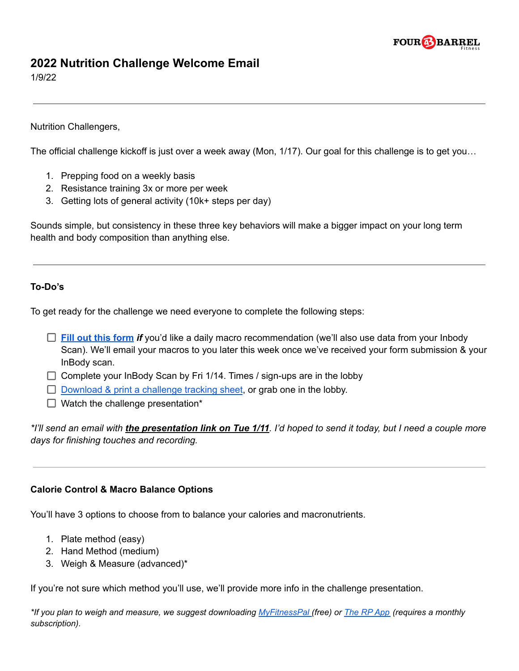

# **2022 Nutrition Challenge Welcome Email**

1/9/22

Nutrition Challengers,

The official challenge kickoff is just over a week away (Mon, 1/17). Our goal for this challenge is to get you…

- 1. Prepping food on a weekly basis
- 2. Resistance training 3x or more per week
- 3. Getting lots of general activity (10k+ steps per day)

Sounds simple, but consistency in these three key behaviors will make a bigger impact on your long term health and body composition than anything else.

## **To-Do's**

To get ready for the challenge we need everyone to complete the following steps:

- **Fill out this [form](https://forms.gle/Hnm8gnBuNrrrmAQ27)** *if* you'd like a daily macro recommendation (we'll also use data from your Inbody Scan). We'll email your macros to you later this week once we've received your form submission & your InBody scan.
- $\Box$  Complete your InBody Scan by Fri 1/14. Times / sign-ups are in the lobby
- $\Box$  [Download](https://4bfit.com/wp-content/uploads/2022/01/Challenge-Tracking-Sheet-2022.pdf) & print a challenge tracking sheet, or grab one in the lobby.
- $\Box$  Watch the challenge presentation\*

\*I'll send an email with *the presentation link on Tue 1/11*. I'd hoped to send it today, but I need a couple more *days for finishing touches and recording.*

## **Calorie Control & Macro Balance Options**

You'll have 3 options to choose from to balance your calories and macronutrients.

- 1. Plate method (easy)
- 2. Hand Method (medium)
- 3. Weigh & Measure (advanced)\*

If you're not sure which method you'll use, we'll provide more info in the challenge presentation.

\*If you plan to weigh and measure, we suggest downloading [MyFitnessPal](https://www.myfitnesspal.com/) (free) or The RP [App](https://www.rpdiet.app/) (requires a monthly *subscription).*